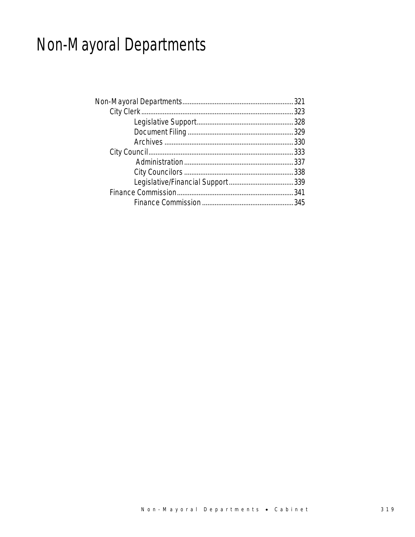# Non-Mayoral Departments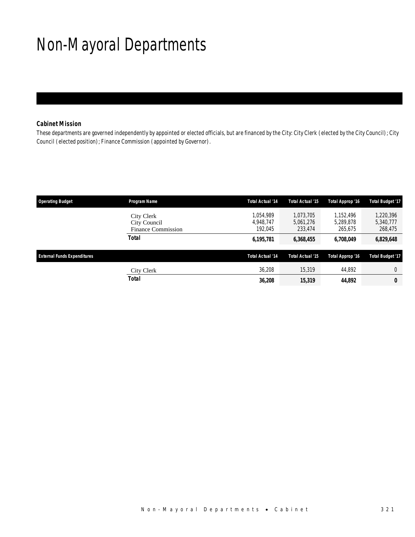# Non-Mayoral Departments

### *Cabinet Mission*

These departments are governed independently by appointed or elected officials, but are financed by the City: City Clerk (elected by the City Council); City Council (elected position); Finance Commission (appointed by Governor).

| <b>Operating Budget</b>            | Program Name                                            | Total Actual '14                  | <b>Total Actual '15</b>           | Total Approp '16                  | <b>Total Budget '17</b>           |
|------------------------------------|---------------------------------------------------------|-----------------------------------|-----------------------------------|-----------------------------------|-----------------------------------|
|                                    | City Clerk<br>City Council<br><b>Finance Commission</b> | 1.054.989<br>4.948.747<br>192.045 | 1.073.705<br>5,061,276<br>233,474 | 1.152.496<br>5.289.878<br>265,675 | 1,220,396<br>5,340,777<br>268,475 |
|                                    | <b>Total</b>                                            | 6,195,781                         | 6,368,455                         | 6,708,049                         | 6,829,648                         |
| <b>External Funds Expenditures</b> |                                                         | Total Actual '14                  | <b>Total Actual '15</b>           | Total Approp '16                  | <b>Total Budget '17</b>           |
|                                    | City Clerk                                              | 36,208                            | 15,319                            | 44.892                            | $\Omega$                          |
|                                    | <b>Total</b>                                            | 36,208                            | 15,319                            | 44.892                            | 0                                 |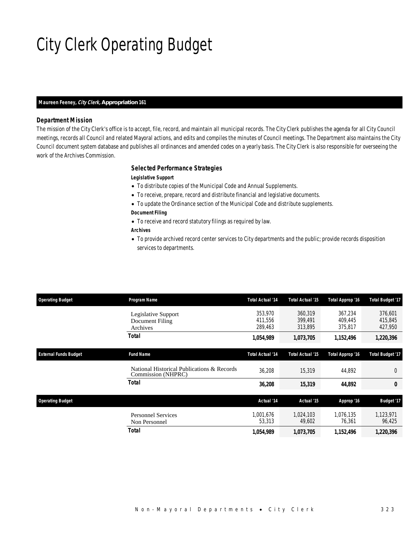# City Clerk Operating Budget

#### *Maureen Feeney, City Clerk, Appropriation 161*

#### *Department Mission*

The mission of the City Clerk's office is to accept, file, record, and maintain all municipal records. The City Clerk publishes the agenda for all City Council meetings, records all Council and related Mayoral actions, and edits and compiles the minutes of Council meetings. The Department also maintains the City Council document system database and publishes all ordinances and amended codes on a yearly basis. The City Clerk is also responsible for overseeing the work of the Archives Commission.

### *Selected Performance Strategies*

#### *Legislative Support*

- To distribute copies of the Municipal Code and Annual Supplements.
- To receive, prepare, record and distribute financial and legislative documents.
- To update the Ordinance section of the Municipal Code and distribute supplements.
- *Document Filing*
- To receive and record statutory filings as required by law.

### *Archives*

• To provide archived record center services to City departments and the public; provide records disposition services to departments.

| <b>Operating Budget</b>      | Program Name                                                     | <b>Total Actual '14</b>       | Total Actual '15              | Total Approp '16              | <b>Total Budget '17</b>       |
|------------------------------|------------------------------------------------------------------|-------------------------------|-------------------------------|-------------------------------|-------------------------------|
|                              | Legislative Support<br>Document Filing<br>Archives               | 353,970<br>411,556<br>289,463 | 360.319<br>399,491<br>313,895 | 367.234<br>409.445<br>375,817 | 376,601<br>415,845<br>427,950 |
|                              | Total                                                            | 1,054,989                     | 1,073,705                     | 1,152,496                     | 1,220,396                     |
| <b>External Funds Budget</b> | <b>Fund Name</b>                                                 | <b>Total Actual '14</b>       | Total Actual '15              | Total Approp '16              | <b>Total Budget '17</b>       |
|                              | National Historical Publications & Records<br>Commission (NHPRC) | 36,208                        | 15,319                        | 44,892                        | $\mathbf{0}$                  |
|                              | Total                                                            | 36,208                        | 15,319                        | 44,892                        | 0                             |
| <b>Operating Budget</b>      |                                                                  | Actual '14                    | Actual '15                    | Approp '16                    | <b>Budget '17</b>             |
|                              | <b>Personnel Services</b><br>Non Personnel                       | 1.001.676<br>53,313           | 1.024.103<br>49,602           | 1,076,135<br>76,361           | 1,123,971<br>96,425           |
|                              | Total                                                            | 1,054,989                     | 1,073,705                     | 1,152,496                     | 1,220,396                     |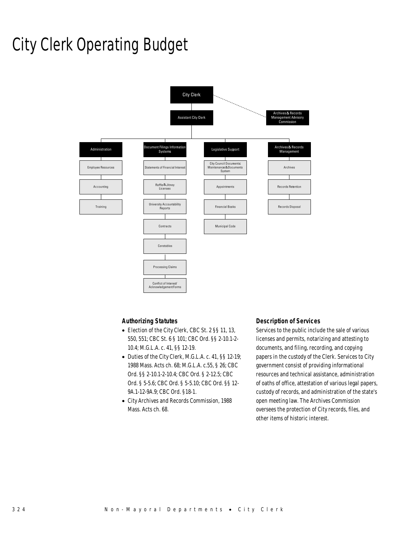## City Clerk Operating Budget



### *Authorizing Statutes*

- Election of the City Clerk, CBC St. 2 §§ 11, 13, 550, 551; CBC St. 6 § 101; CBC Ord. §§ 2-10.1-2- 10.4; M.G.L.A. c. 41, §§ 12-19.
- Duties of the City Clerk, M.G.L.A. c. 41, §§ 12-19; 1988 Mass. Acts ch. 68; M.G.L.A. c.55, § 26; CBC Ord. §§ 2-10.1-2-10.4; CBC Ord. § 2-12.5; CBC Ord. § 5-5.6; CBC Ord. § 5-5.10; CBC Ord. §§ 12- 9A.1-12-9A.9; CBC Ord. §18-1.
- City Archives and Records Commission, 1988 Mass. Acts ch. 68.

### *Description of Services*

Services to the public include the sale of various licenses and permits, notarizing and attesting to documents, and filing, recording, and copying papers in the custody of the Clerk. Services to City government consist of providing informational resources and technical assistance, administration of oaths of office, attestation of various legal papers, custody of records, and administration of the state's open meeting law. The Archives Commission oversees the protection of City records, files, and other items of historic interest.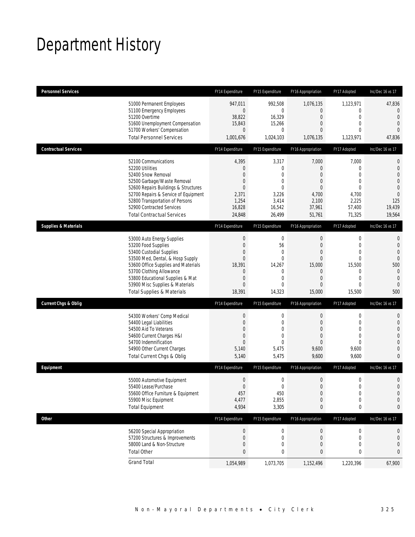## Department History

| <b>Personnel Services</b>       |                                                                                                                                                                                                                                                                                                      | FY14 Expenditure                                                                                          | FY15 Expenditure                                                                                            | FY16 Appropriation                                                                                             | FY17 Adopted                                                                                             | Inc/Dec 16 vs 17                                                                                                          |
|---------------------------------|------------------------------------------------------------------------------------------------------------------------------------------------------------------------------------------------------------------------------------------------------------------------------------------------------|-----------------------------------------------------------------------------------------------------------|-------------------------------------------------------------------------------------------------------------|----------------------------------------------------------------------------------------------------------------|----------------------------------------------------------------------------------------------------------|---------------------------------------------------------------------------------------------------------------------------|
|                                 | 51000 Permanent Employees<br>51100 Emergency Employees<br>51200 Overtime<br>51600 Unemployment Compensation<br>51700 Workers' Compensation<br><b>Total Personnel Services</b>                                                                                                                        | 947,011<br>$\overline{0}$<br>38,822<br>15,843<br>$\overline{0}$<br>1,001,676                              | 992,508<br>0<br>16,329<br>15,266<br>$\mathbf{0}$<br>1,024,103                                               | 1,076,135<br>$\mathbf{0}$<br>$\boldsymbol{0}$<br>0<br>$\mathbf{0}$<br>1,076,135                                | 1,123,971<br>0<br>$\mathbf 0$<br>$\mathbf{0}$<br>$\mathbf{0}$<br>1,123,971                               | 47,836<br>0<br>$\overline{0}$<br>$\overline{0}$<br>$\overline{0}$<br>47,836                                               |
| <b>Contractual Services</b>     |                                                                                                                                                                                                                                                                                                      | FY14 Expenditure                                                                                          | FY15 Expenditure                                                                                            | FY16 Appropriation                                                                                             | FY17 Adopted                                                                                             | Inc/Dec 16 vs 17                                                                                                          |
|                                 | 52100 Communications<br>52200 Utilities<br>52400 Snow Removal<br>52500 Garbage/Waste Removal<br>52600 Repairs Buildings & Structures<br>52700 Repairs & Service of Equipment<br>52800 Transportation of Persons<br>52900 Contracted Services<br><b>Total Contractual Services</b>                    | 4,395<br>0<br>$\overline{0}$<br>0<br>$\overline{0}$<br>2,371<br>1,254<br>16,828<br>24,848                 | 3,317<br>0<br>$\overline{0}$<br>$\overline{0}$<br>$\mathbf{0}$<br>3,226<br>3,414<br>16,542<br>26,499        | 7,000<br>$\mathbf{0}$<br>0<br>0<br>$\mathbf{0}$<br>4,700<br>2,100<br>37,961<br>51,761                          | 7,000<br>0<br>$\mathbf{0}$<br>$\mathbf 0$<br>$\mathbf{0}$<br>4,700<br>2,225<br>57,400<br>71,325          | $\mathbf 0$<br>$\mathbf 0$<br>$\overline{0}$<br>$\overline{0}$<br>$\theta$<br>$\overline{0}$<br>125<br>19,439<br>19,564   |
| <b>Supplies &amp; Materials</b> |                                                                                                                                                                                                                                                                                                      | FY14 Expenditure                                                                                          | FY15 Expenditure                                                                                            | FY16 Appropriation                                                                                             | FY17 Adopted                                                                                             | Inc/Dec 16 vs 17                                                                                                          |
|                                 | 53000 Auto Energy Supplies<br>53200 Food Supplies<br>53400 Custodial Supplies<br>53500 Med, Dental, & Hosp Supply<br>53600 Office Supplies and Materials<br>53700 Clothing Allowance<br>53800 Educational Supplies & Mat<br>53900 Misc Supplies & Materials<br><b>Total Supplies &amp; Materials</b> | $\boldsymbol{0}$<br>$\boldsymbol{0}$<br>0<br>$\mathbf{0}$<br>18,391<br>0<br>0<br>$\overline{0}$<br>18,391 | $\boldsymbol{0}$<br>56<br>$\mathbf{0}$<br>$\mathbf{0}$<br>14,267<br>0<br>$\mathbf{0}$<br>$\Omega$<br>14,323 | $\mathbf 0$<br>$\boldsymbol{0}$<br>0<br>$\mathbf{0}$<br>15,000<br>$\mathbf 0$<br>$\overline{0}$<br>0<br>15,000 | 0<br>$\mathbf 0$<br>$\mathbf{0}$<br>$\mathbf 0$<br>15,500<br>0<br>$\mathbf{0}$<br>$\mathbf{0}$<br>15,500 | $\mathbf{0}$<br>$\theta$<br>$\overline{0}$<br>$\overline{0}$<br>500<br>$\mathbf{0}$<br>$\mathbf 0$<br>$\mathbf{0}$<br>500 |
| <b>Current Chgs &amp; Oblig</b> |                                                                                                                                                                                                                                                                                                      | FY14 Expenditure                                                                                          | FY15 Expenditure                                                                                            | FY16 Appropriation                                                                                             | FY17 Adopted                                                                                             | Inc/Dec 16 vs 17                                                                                                          |
|                                 | 54300 Workers' Comp Medical<br>54400 Legal Liabilities<br>54500 Aid To Veterans<br>54600 Current Charges H&I<br>54700 Indemnification<br>54900 Other Current Charges<br>Total Current Chgs & Oblig                                                                                                   | $\boldsymbol{0}$<br>$\boldsymbol{0}$<br>0<br>$\mathbf 0$<br>$\overline{0}$<br>5,140<br>5,140              | 0<br>$\mathbf 0$<br>$\mathbf{0}$<br>$\overline{0}$<br>$\overline{0}$<br>5,475<br>5,475                      | $\boldsymbol{0}$<br>$\boldsymbol{0}$<br>0<br>$\overline{0}$<br>$\overline{0}$<br>9,600<br>9,600                | 0<br>$\mathbf 0$<br>$\mathbf{0}$<br>$\mathbf{0}$<br>$\mathbf{0}$<br>9,600<br>9,600                       | $\mathbf 0$<br>$\mathbf 0$<br>$\overline{0}$<br>$\overline{0}$<br>$\overline{0}$<br>$\overline{0}$<br>$\overline{0}$      |
| Equipment                       |                                                                                                                                                                                                                                                                                                      | FY14 Expenditure                                                                                          | FY15 Expenditure                                                                                            | FY16 Appropriation                                                                                             | FY17 Adopted                                                                                             | Inc/Dec 16 vs 17                                                                                                          |
|                                 | 55000 Automotive Equipment<br>55400 Lease/Purchase<br>55600 Office Furniture & Equipment<br>55900 Misc Equipment<br><b>Total Equipment</b>                                                                                                                                                           | $\boldsymbol{0}$<br>$\Omega$<br>457<br>4,477<br>4,934                                                     | 0<br>$\mathbf 0$<br>450<br>2,855<br>3,305                                                                   | $\boldsymbol{0}$<br>$\mathbf{0}$<br>$\boldsymbol{0}$<br>$\boldsymbol{0}$<br>0                                  | $\boldsymbol{0}$<br>$\mathbf 0$<br>$\boldsymbol{0}$<br>$\boldsymbol{0}$<br>0                             | $\mathbf 0$<br>$\overline{0}$<br>$\mathbf 0$<br>$\mathbf 0$<br>0                                                          |
| <b>Other</b>                    |                                                                                                                                                                                                                                                                                                      | FY14 Expenditure                                                                                          | FY15 Expenditure                                                                                            | FY16 Appropriation                                                                                             | FY17 Adopted                                                                                             | Inc/Dec 16 vs 17                                                                                                          |
|                                 | 56200 Special Appropriation<br>57200 Structures & Improvements<br>58000 Land & Non-Structure<br><b>Total Other</b>                                                                                                                                                                                   | $\boldsymbol{0}$<br>0<br>$\mathbf 0$<br>0                                                                 | 0<br>0<br>0<br>0                                                                                            | $\boldsymbol{0}$<br>$\mathbf 0$<br>$\boldsymbol{0}$<br>0                                                       | 0<br>0<br>$\mathbf 0$<br>0                                                                               | 0<br>$\mathbf 0$<br>$\mathbf 0$<br>0                                                                                      |
|                                 | <b>Grand Total</b>                                                                                                                                                                                                                                                                                   | 1,054,989                                                                                                 | 1,073,705                                                                                                   | 1,152,496                                                                                                      | 1,220,396                                                                                                | 67,900                                                                                                                    |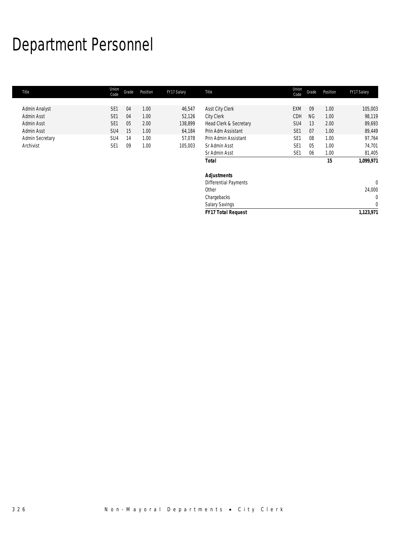# Department Personnel

| Union<br>Code   | Grade | Position | FY17 Salary | Title                     | Union<br>Code   | Grade     | Position | FY17 Salary    |
|-----------------|-------|----------|-------------|---------------------------|-----------------|-----------|----------|----------------|
|                 |       |          |             |                           |                 |           |          |                |
| SE <sub>1</sub> | 04    | 1.00     |             |                           | <b>EXM</b>      | 09        | 1.00     | 105,003        |
| SE <sub>1</sub> | 04    | 1.00     | 52,126      | <b>City Clerk</b>         | CDH             | <b>NG</b> | 1.00     | 98,119         |
| SE <sub>1</sub> | 05    | 2.00     | 138,899     | Head Clerk & Secretary    | SU4             | 13        | 2.00     | 89,693         |
| SU <sub>4</sub> | 15    | 1.00     | 64,184      | Prin Adm Assistant        | SE <sub>1</sub> | 07        | 1.00     | 89,449         |
| SU <sub>4</sub> | 14    | 1.00     | 57,078      | Prin Admin Assistant      | SE <sub>1</sub> | 08        | 1.00     | 97,764         |
| SE <sub>1</sub> | 09    | 1.00     | 105,003     | Sr Admin Asst             | SE <sub>1</sub> | 05        | 1.00     | 74,701         |
|                 |       |          |             | Sr Admin Asst             | SE <sub>1</sub> | 06        | 1.00     | 81,405         |
|                 |       |          |             | <b>Total</b>              |                 |           | 15       | 1,099,971      |
|                 |       |          |             | <b>Adjustments</b>        |                 |           |          |                |
|                 |       |          |             | Differential Payments     |                 |           |          | $\overline{0}$ |
|                 |       |          |             | Other                     |                 |           |          | 24,000         |
|                 |       |          |             | Chargebacks               |                 |           |          | $\mathbf{0}$   |
|                 |       |          |             | Salary Savings            |                 |           |          | $\mathbf 0$    |
|                 |       |          |             | <b>FY17 Total Request</b> |                 |           |          | 1,123,971      |
|                 |       |          |             | 46,547                    | Asst City Clerk |           |          |                |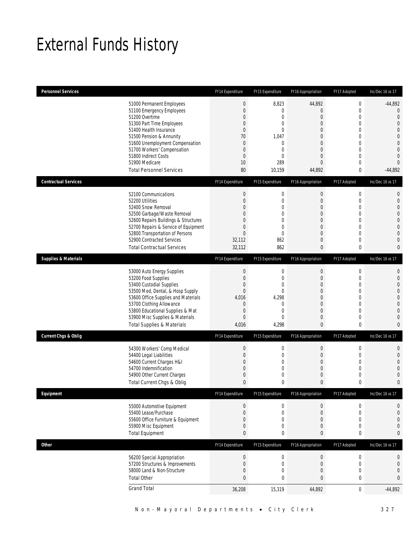## External Funds History

| <b>Personnel Services</b>       |                                                                                                                                                                                                                                                                                                            | FY14 Expenditure                                                                                                                     | FY15 Expenditure                                                                                           | <b>FY16 Appropriation</b>                                                                                                                                   | FY17 Adopted                                                                                                                                                     | Inc/Dec 16 vs 17                                                                                                                                                             |
|---------------------------------|------------------------------------------------------------------------------------------------------------------------------------------------------------------------------------------------------------------------------------------------------------------------------------------------------------|--------------------------------------------------------------------------------------------------------------------------------------|------------------------------------------------------------------------------------------------------------|-------------------------------------------------------------------------------------------------------------------------------------------------------------|------------------------------------------------------------------------------------------------------------------------------------------------------------------|------------------------------------------------------------------------------------------------------------------------------------------------------------------------------|
|                                 | 51000 Permanent Employees<br>51100 Emergency Employees<br>51200 Overtime<br>51300 Part Time Employees<br>51400 Health Insurance<br>51500 Pension & Annunity<br>51600 Unemployment Compensation<br>51700 Workers' Compensation<br>51800 Indirect Costs<br>51900 Medicare<br><b>Total Personnel Services</b> | $\boldsymbol{0}$<br>$\boldsymbol{0}$<br>0<br>0<br>$\overline{0}$<br>70<br>$\overline{0}$<br>$\theta$<br>$\boldsymbol{0}$<br>10<br>80 | 8,823<br>$\overline{0}$<br>0<br>0<br>0<br>1,047<br>0<br>0<br>$\overline{0}$<br>289<br>10,159               | 44,892<br>$\mathbf 0$<br>$\mathbf 0$<br>$\mathbf{0}$<br>$\overline{0}$<br>0<br>$\overline{0}$<br>$\mathbf{0}$<br>$\overline{0}$<br>$\overline{0}$<br>44,892 | $\boldsymbol{0}$<br>$\mathbf 0$<br>$\mathbf 0$<br>$\mathbf{0}$<br>$\mathbf{0}$<br>$\mathbf 0$<br>$\mathbf{0}$<br>$\mathbf 0$<br>$\mathbf{0}$<br>$\mathbf 0$<br>0 | $-44,892$<br>$\mathbf 0$<br>$\mathbf 0$<br>$\mathbf 0$<br>$\overline{0}$<br>$\overline{0}$<br>$\mathbf 0$<br>$\overline{0}$<br>$\overline{0}$<br>$\overline{0}$<br>$-44,892$ |
| <b>Contractual Services</b>     |                                                                                                                                                                                                                                                                                                            | FY14 Expenditure                                                                                                                     | FY15 Expenditure                                                                                           | FY16 Appropriation                                                                                                                                          | FY17 Adopted                                                                                                                                                     | Inc/Dec 16 vs 17                                                                                                                                                             |
|                                 | 52100 Communications<br>52200 Utilities<br>52400 Snow Removal<br>52500 Garbage/Waste Removal<br>52600 Repairs Buildings & Structures<br>52700 Repairs & Service of Equipment<br>52800 Transportation of Persons<br>52900 Contracted Services<br><b>Total Contractual Services</b>                          | $\boldsymbol{0}$<br>$\boldsymbol{0}$<br>0<br>0<br>0<br>0<br>$\overline{0}$<br>32,112<br>32,112                                       | $\boldsymbol{0}$<br>$\mathbf 0$<br>0<br>$\overline{0}$<br>$\overline{0}$<br>0<br>$\mathbf 0$<br>862<br>862 | $\boldsymbol{0}$<br>$\boldsymbol{0}$<br>$\overline{0}$<br>$\mathbf 0$<br>$\mathbf{0}$<br>$\mathbf 0$<br>$\overline{0}$<br>$\mathbf 0$<br>$\bf{0}$           | $\boldsymbol{0}$<br>$\mathbf 0$<br>$\mathbf{0}$<br>$\mathbf 0$<br>$\mathbf{0}$<br>$\mathbf 0$<br>$\mathbf{0}$<br>$\mathbf 0$<br>$\bf{0}$                         | $\mathbf 0$<br>$\mathbf 0$<br>$\overline{0}$<br>$\overline{0}$<br>$\mathbf 0$<br>$\overline{0}$<br>$\mathbf{0}$<br>$\overline{0}$<br>0                                       |
| <b>Supplies &amp; Materials</b> |                                                                                                                                                                                                                                                                                                            | FY14 Expenditure                                                                                                                     | FY15 Expenditure                                                                                           | FY16 Appropriation                                                                                                                                          | FY17 Adopted                                                                                                                                                     | Inc/Dec 16 vs 17                                                                                                                                                             |
|                                 | 53000 Auto Energy Supplies<br>53200 Food Supplies<br>53400 Custodial Supplies<br>53500 Med, Dental, & Hosp Supply<br>53600 Office Supplies and Materials<br>53700 Clothing Allowance<br>53800 Educational Supplies & Mat<br>53900 Misc Supplies & Materials<br><b>Total Supplies &amp; Materials</b>       | $\boldsymbol{0}$<br>$\boldsymbol{0}$<br>0<br>$\overline{0}$<br>4,016<br>$\theta$<br>$\boldsymbol{0}$<br>$\overline{0}$<br>4,016      | 0<br>$\mathbf 0$<br>0<br>0<br>4,298<br>0<br>0<br>0<br>4,298                                                | $\boldsymbol{0}$<br>$\boldsymbol{0}$<br>$\mathbf{0}$<br>$\mathbf{0}$<br>$\overline{0}$<br>$\mathbf{0}$<br>$\boldsymbol{0}$<br>$\mathbf{0}$<br>$\mathbf{0}$  | $\boldsymbol{0}$<br>$\mathbf 0$<br>$\mathbf{0}$<br>$\mathbf{0}$<br>$\mathbf{0}$<br>$\mathbf 0$<br>$\mathbf 0$<br>$\mathbf 0$<br>$\bf{0}$                         | 0<br>$\mathbf 0$<br>$\overline{0}$<br>$\overline{0}$<br>$\mathbf 0$<br>$\overline{0}$<br>$\mathbf{0}$<br>$\overline{0}$<br>$\mathbf{0}$                                      |
| <b>Current Chgs &amp; Oblig</b> |                                                                                                                                                                                                                                                                                                            | FY14 Expenditure                                                                                                                     | FY15 Expenditure                                                                                           | FY16 Appropriation                                                                                                                                          | FY17 Adopted                                                                                                                                                     | Inc/Dec 16 vs 17                                                                                                                                                             |
|                                 | 54300 Workers' Comp Medical<br>54400 Legal Liabilities<br>54600 Current Charges H&I<br>54700 Indemnification<br>54900 Other Current Charges<br>Total Current Chgs & Oblig                                                                                                                                  | $\boldsymbol{0}$<br>$\boldsymbol{0}$<br>0<br>0<br>0<br>$\mathbf{0}$                                                                  | 0<br>$\mathbf 0$<br>0<br>0<br>$\mathbf 0$<br>0                                                             | $\boldsymbol{0}$<br>$\boldsymbol{0}$<br>$\mathbf{0}$<br>$\mathbf{0}$<br>$\mathbf 0$<br>$\mathbf{0}$                                                         | $\boldsymbol{0}$<br>$\mathbf 0$<br>$\mathbf{0}$<br>$\mathbf 0$<br>$\mathbf 0$<br>$\mathbf{0}$                                                                    | 0<br>$\mathbf{0}$<br>$\overline{0}$<br>$\overline{0}$<br>$\mathbf 0$<br>$\mathbf{0}$                                                                                         |
| Equipment                       |                                                                                                                                                                                                                                                                                                            | FY14 Expenditure                                                                                                                     | FY15 Expenditure                                                                                           | FY16 Appropriation                                                                                                                                          | FY17 Adopted                                                                                                                                                     | Inc/Dec 16 vs 17                                                                                                                                                             |
|                                 | 55000 Automotive Equipment<br>55400 Lease/Purchase<br>55600 Office Furniture & Equipment<br>55900 Misc Equipment<br><b>Total Equipment</b>                                                                                                                                                                 | $\theta$<br>$\boldsymbol{0}$<br>0<br>0<br>0                                                                                          | 0<br>0<br>0<br>0<br>0                                                                                      | $\boldsymbol{0}$<br>$\boldsymbol{0}$<br>$\boldsymbol{0}$<br>$\boldsymbol{0}$<br>0                                                                           | 0<br>$\boldsymbol{0}$<br>$\mathbf 0$<br>$\boldsymbol{0}$<br>0                                                                                                    | $\mathbf 0$<br>$\mathbf 0$<br>$\mathbf 0$<br>$\mathbf 0$<br>0                                                                                                                |
| Other                           |                                                                                                                                                                                                                                                                                                            | FY14 Expenditure                                                                                                                     | FY15 Expenditure                                                                                           | FY16 Appropriation                                                                                                                                          | FY17 Adopted                                                                                                                                                     | Inc/Dec 16 vs 17                                                                                                                                                             |
|                                 | 56200 Special Appropriation<br>57200 Structures & Improvements<br>58000 Land & Non-Structure<br><b>Total Other</b>                                                                                                                                                                                         | $\boldsymbol{0}$<br>$\boldsymbol{0}$<br>0<br>0                                                                                       | $\boldsymbol{0}$<br>0<br>$\mathbf 0$<br>0                                                                  | $\boldsymbol{0}$<br>$\boldsymbol{0}$<br>$\mathbf 0$<br>$\bf{0}$                                                                                             | $\boldsymbol{0}$<br>$\boldsymbol{0}$<br>$\boldsymbol{0}$<br>$\pmb{0}$                                                                                            | 0<br>$\mathbf 0$<br>$\mathbf{0}$<br>0                                                                                                                                        |
|                                 | <b>Grand Total</b>                                                                                                                                                                                                                                                                                         | 36,208                                                                                                                               | 15,319                                                                                                     | 44,892                                                                                                                                                      | $\boldsymbol{0}$                                                                                                                                                 | $-44,892$                                                                                                                                                                    |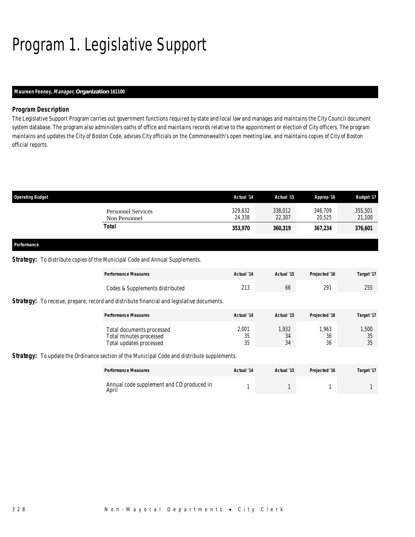# Program 1. Legislative Support

### *Maureen Feeney, Manager, Organization 161100*

### *Program Description*

The Legislative Support Program carries out government functions required by state and local law and manages and maintains the City Council document system database. The program also administers oaths of office and maintains records relative to the appointment or election of City officers. The program maintains and updates the City of Boston Code, advises City officials on the Commonwealth's open meeting law, and maintains copies of City of Boston official reports.

| <b>Operating Budget</b>             | Actual '14        | Actual '15        | Approp '16        | <b>Budget '17</b> |
|-------------------------------------|-------------------|-------------------|-------------------|-------------------|
| Personnel Services<br>Non Personnel | 329,632<br>24,338 | 338,012<br>22,307 | 346,709<br>20.525 | 355,501<br>21,100 |
| Total                               | 353,970           | 360,319           | 367,234           | 376,601           |
|                                     |                   |                   |                   |                   |

### *Performance*

#### **Strategy:** To distribute copies of the Municipal Code and Annual Supplements.

| <b>Performance Measures</b>                                                                      | Actual '14        | Actual '15        | Projected '16     | Target '17        |
|--------------------------------------------------------------------------------------------------|-------------------|-------------------|-------------------|-------------------|
| Codes & Supplements distributed                                                                  | 213               | 66                | 291               | 255               |
| <b>Strategy:</b> To receive, prepare, record and distribute financial and legislative documents. |                   |                   |                   |                   |
| <b>Performance Measures</b>                                                                      | Actual '14        | Actual '15        | Projected '16     | Target '17        |
| Total documents processed<br>Total minutes processed<br>Total updates processed                  | 2,001<br>35<br>35 | 1.932<br>34<br>34 | 1.963<br>36<br>36 | 1,500<br>35<br>35 |
| Strategy: To update the Ordinance section of the Municipal Code and distribute supplements.      |                   |                   |                   |                   |

| <b>Performance Measures</b>                        | Actual '14 | Actual '15 | Projected '16 | Target '17 |
|----------------------------------------------------|------------|------------|---------------|------------|
| Annual code supplement and CD produced in<br>April |            |            |               |            |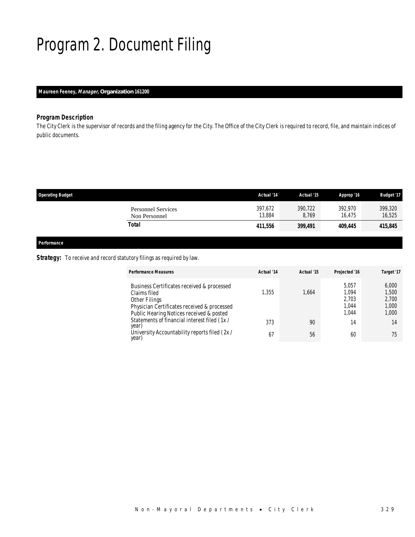# Program 2. Document Filing

### *Maureen Feeney, Manager, Organization 161200*

### *Program Description*

The City Clerk is the supervisor of records and the filing agency for the City. The Office of the City Clerk is required to record, file, and maintain indices of public documents.

| <b>Operating Budget</b>                    | Actual '14        | Actual '15       | Approp '16        | <b>Budget '17</b> |
|--------------------------------------------|-------------------|------------------|-------------------|-------------------|
| <b>Personnel Services</b><br>Non Personnel | 397,672<br>13,884 | 390.722<br>8.769 | 392.970<br>16.475 | 399,320<br>16,525 |
| Total                                      | 411.556           | 399,491          | 409,445           | 415,845           |
|                                            |                   |                  |                   |                   |

### *Performance*

### Strategy: To receive and record statutory filings as required by law.

| <b>Performance Measures</b>                                                                                                                                            | Actual '14 | Actual '15 | Projected '16                             | Target '17                                |
|------------------------------------------------------------------------------------------------------------------------------------------------------------------------|------------|------------|-------------------------------------------|-------------------------------------------|
| Business Certificates received & processed<br>Claims filed<br>Other Filings<br>Physician Certificates received & processed<br>Public Hearing Notices received & posted | 1,355      | 1,664      | 5.057<br>1.094<br>2.703<br>1.044<br>1.044 | 6,000<br>1,500<br>2,700<br>1,000<br>1,000 |
| Statements of financial interest filed (1x/<br>year)                                                                                                                   | 373        | 90         | 14                                        | 14                                        |
| University Accountability reports filed (2x/<br>year)                                                                                                                  | 67         | 56         | 60                                        | 75                                        |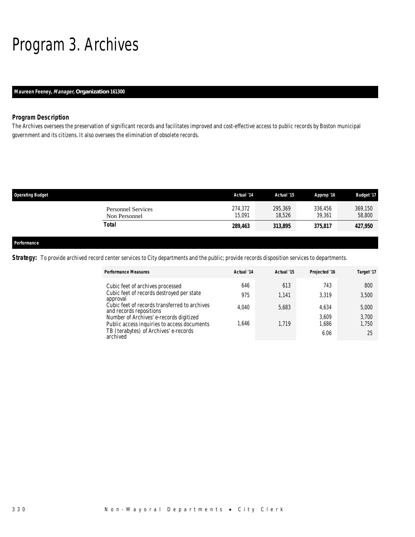## Program 3. Archives

### *Maureen Feeney, Manager, Organization 161300*

### *Program Description*

The Archives oversees the preservation of significant records and facilitates improved and cost-effective access to public records by Boston municipal government and its citizens. It also oversees the elimination of obsolete records.

| <b>Operating Budget</b> |                                            | Actual '14        | Actual '15        | Approp '16        | <b>Budget '17</b> |
|-------------------------|--------------------------------------------|-------------------|-------------------|-------------------|-------------------|
|                         | <b>Personnel Services</b><br>Non Personnel | 274,372<br>15.091 | 295,369<br>18,526 | 336,456<br>39.361 | 369,150<br>58,800 |
|                         | <b>Total</b>                               | 289,463           | 313,895           | 375,817           | 427,950           |
|                         |                                            |                   |                   |                   |                   |
| Performance             |                                            |                   |                   |                   |                   |

**Strategy:** To provide archived record center services to City departments and the public; provide records disposition services to departments.

| <b>Performance Measures</b>                                                            | Actual '14 | Actual '15 | Projected '16  | Target '17     |
|----------------------------------------------------------------------------------------|------------|------------|----------------|----------------|
| Cubic feet of archives processed                                                       | 646        | 613        | 743            | 800            |
| Cubic feet of records destroyed per state<br>approval                                  | 975        | 1.141      | 3,319          | 3,500          |
| Cubic feet of records transferred to archives<br>and records repositions               | 4.040      | 5,683      | 4.634          | 5,000          |
| Number of Archives' e-records digitized<br>Public access inquiries to access documents | 1.646      | 1.719      | 3,609<br>1,686 | 3,700<br>1.750 |
| TB (terabytes) of Archives' e-records<br>archived                                      |            |            | 6.06           | 25             |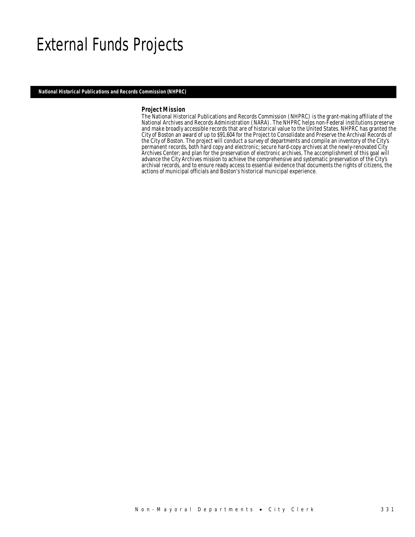### External Funds Projects

*National Historical Publications and Records Commission (NHPRC)* 

#### *Project Mission*

The National Historical Publications and Records Commission (NHPRC) is the grant-making affiliate of the National Archives and Records Administration (NARA). The NHPRC helps non-Federal institutions preserve and make broadly accessible records that are of historical value to the United States. NHPRC has granted the City of Boston an award of up to \$91,604 for the Project to Consolidate and Preserve the Archival Records of the City of Boston. The project will conduct a survey of departments and compile an inventory of the City's permanent records, both hard copy and electronic; secure hard-copy archives at the newly-renovated City Archives Center; and plan for the preservation of electronic archives. The accomplishment of this goal will advance the City Archives mission to achieve the comprehensive and systematic preservation of the City's archival records, and to ensure ready access to essential evidence that documents the rights of citizens, the actions of municipal officials and Boston's historical municipal experience.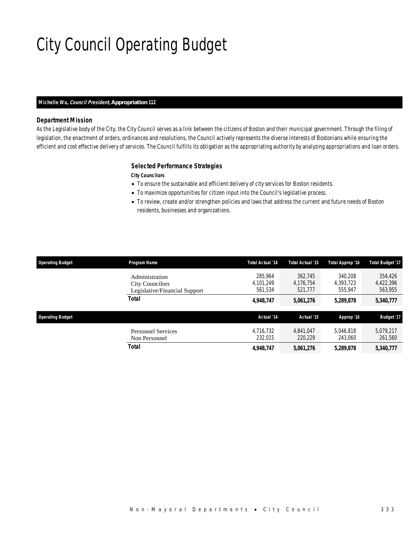# City Council Operating Budget

#### *Michelle Wu, Council President, Appropriation 112*

#### *Department Mission*

As the Legislative body of the City, the City Council serves as a link between the citizens of Boston and their municipal government. Through the filing of legislation, the enactment of orders, ordinances and resolutions, the Council actively represents the diverse interests of Bostonians while ensuring the efficient and cost effective delivery of services. The Council fulfills its obligation as the appropriating authority by analyzing appropriations and loan orders.

#### *Selected Performance Strategies*

*City Councilors* 

- To ensure the sustainable and efficient delivery of city services for Boston residents.
- To maximize opportunities for citizen input into the Council's legislative process.
- To review, create and/or strengthen policies and laws that address the current and future needs of Boston residents, businesses and organizations.

| <b>Operating Budget</b> | <b>Program Name</b>                                                       | <b>Total Actual '14</b>         | Total Actual '15                | Total Approp '16                | <b>Total Budget '17</b>         |
|-------------------------|---------------------------------------------------------------------------|---------------------------------|---------------------------------|---------------------------------|---------------------------------|
|                         | Administration<br><b>City Councilors</b><br>Legislative/Financial Support | 285.964<br>4,101,249<br>561.534 | 362.745<br>4,176,754<br>521,777 | 340.208<br>4.393.723<br>555,947 | 354,426<br>4,422,396<br>563,955 |
|                         | <b>Total</b>                                                              | 4,948,747                       | 5,061,276                       | 5,289,878                       | 5,340,777                       |
| <b>Operating Budget</b> |                                                                           | Actual '14                      | Actual '15                      | Approp '16                      | <b>Budget '17</b>               |
|                         | <b>Personnel Services</b><br>Non Personnel                                | 4.716.732<br>232.015            | 4.841.047<br>220.229            | 5.046.818<br>243.060            | 5,079,217<br>261,560            |
|                         | <b>Total</b>                                                              | 4,948,747                       | 5,061,276                       | 5,289,878                       | 5,340,777                       |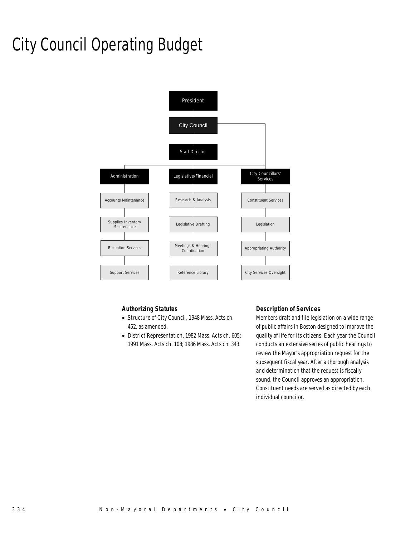# City Council Operating Budget



### *Authorizing Statutes*

- Structure of City Council, 1948 Mass. Acts ch. 452, as amended.
- District Representation, 1982 Mass. Acts ch. 605; 1991 Mass. Acts ch. 108; 1986 Mass. Acts ch. 343.

### *Description of Services*

Members draft and file legislation on a wide range of public affairs in Boston designed to improve the quality of life for its citizens. Each year the Council conducts an extensive series of public hearings to review the Mayor's appropriation request for the subsequent fiscal year. After a thorough analysis and determination that the request is fiscally sound, the Council approves an appropriation. Constituent needs are served as directed by each individual councilor.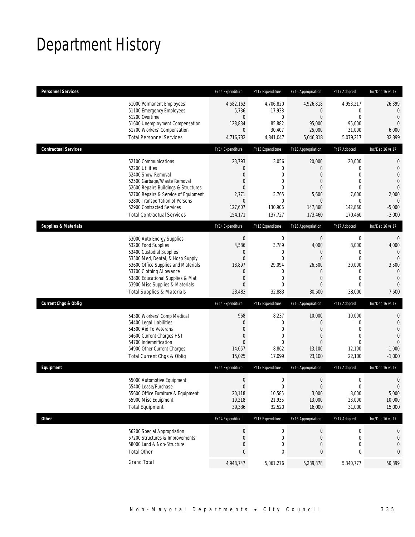## Department History

| <b>Personnel Services</b>       |                                                                                                                                                                                                                                                                                                      | FY14 Expenditure                                                                         | FY15 Expenditure                                                                     | FY16 Appropriation                                                                        | FY17 Adopted                                                                                                      | Inc/Dec 16 vs 17                                                                                                                  |
|---------------------------------|------------------------------------------------------------------------------------------------------------------------------------------------------------------------------------------------------------------------------------------------------------------------------------------------------|------------------------------------------------------------------------------------------|--------------------------------------------------------------------------------------|-------------------------------------------------------------------------------------------|-------------------------------------------------------------------------------------------------------------------|-----------------------------------------------------------------------------------------------------------------------------------|
|                                 | 51000 Permanent Employees<br>51100 Emergency Employees<br>51200 Overtime<br>51600 Unemployment Compensation<br>51700 Workers' Compensation                                                                                                                                                           | 4,582,162<br>5,736<br>0<br>128,834<br>$\overline{0}$                                     | 4,706,820<br>17,938<br>0<br>85,882<br>30,407                                         | 4,926,818<br>$\mathbf{0}$<br>$\mathbf{0}$<br>95,000<br>25,000                             | 4,953,217<br>0<br>$\mathbf 0$<br>95,000<br>31,000                                                                 | 26,399<br>$\mathbf{0}$<br>$\mathbf{0}$<br>$\mathbf{0}$<br>6,000                                                                   |
|                                 | <b>Total Personnel Services</b>                                                                                                                                                                                                                                                                      | 4,716,732                                                                                | 4,841,047                                                                            | 5,046,818                                                                                 | 5,079,217                                                                                                         | 32,399                                                                                                                            |
| <b>Contractual Services</b>     |                                                                                                                                                                                                                                                                                                      | FY14 Expenditure                                                                         | FY15 Expenditure                                                                     | FY16 Appropriation                                                                        | FY17 Adopted                                                                                                      | Inc/Dec 16 vs 17                                                                                                                  |
|                                 | 52100 Communications<br>52200 Utilities<br>52400 Snow Removal<br>52500 Garbage/Waste Removal<br>52600 Repairs Buildings & Structures<br>52700 Repairs & Service of Equipment<br>52800 Transportation of Persons<br>52900 Contracted Services<br><b>Total Contractual Services</b>                    | 23,793<br>0<br>$\overline{0}$<br>0<br>$\overline{0}$<br>2,771<br>0<br>127,607<br>154,171 | 3,056<br>0<br>$\Omega$<br>0<br>$\mathbf{0}$<br>3,765<br>0<br>130,906<br>137,727      | 20,000<br>$\mathbf{0}$<br>0<br>0<br>0<br>5,600<br>$\mathbf{0}$<br>147,860<br>173,460      | 20,000<br>$\mathbf{0}$<br>$\mathbf{0}$<br>$\mathbf 0$<br>$\mathbf{0}$<br>7,600<br>0<br>142,860<br>170,460         | $\mathbf 0$<br>$\mathbf 0$<br>$\overline{0}$<br>$\overline{0}$<br>$\overline{0}$<br>2,000<br>$\mathbf{0}$<br>$-5,000$<br>$-3,000$ |
| <b>Supplies &amp; Materials</b> |                                                                                                                                                                                                                                                                                                      | FY14 Expenditure                                                                         | FY15 Expenditure                                                                     | FY16 Appropriation                                                                        | FY17 Adopted                                                                                                      | Inc/Dec 16 vs 17                                                                                                                  |
|                                 | 53000 Auto Energy Supplies<br>53200 Food Supplies<br>53400 Custodial Supplies<br>53500 Med, Dental, & Hosp Supply<br>53600 Office Supplies and Materials<br>53700 Clothing Allowance<br>53800 Educational Supplies & Mat<br>53900 Misc Supplies & Materials<br><b>Total Supplies &amp; Materials</b> | $\boldsymbol{0}$<br>4,586<br>0<br>$\mathbf{0}$<br>18,897<br>0<br>0<br>$\Omega$<br>23,483 | 0<br>3,789<br>0<br>$\mathbf{0}$<br>29,094<br>0<br>$\mathbf{0}$<br>$\Omega$<br>32,883 | $\mathbf 0$<br>4,000<br>0<br>$\mathbf{0}$<br>26,500<br>0<br>$\overline{0}$<br>0<br>30,500 | $\boldsymbol{0}$<br>8,000<br>$\mathbf{0}$<br>$\mathbf 0$<br>30,000<br>0<br>$\mathbf{0}$<br>$\mathbf{0}$<br>38,000 | $\mathbf 0$<br>4,000<br>$\mathbf{0}$<br>$\Omega$<br>3,500<br>$\mathbf{0}$<br>$\mathbf{0}$<br>$\Omega$<br>7,500                    |
| <b>Current Chgs &amp; Oblig</b> |                                                                                                                                                                                                                                                                                                      | FY14 Expenditure                                                                         | FY15 Expenditure                                                                     | FY16 Appropriation                                                                        | FY17 Adopted                                                                                                      | Inc/Dec 16 vs 17                                                                                                                  |
|                                 | 54300 Workers' Comp Medical<br>54400 Legal Liabilities<br>54500 Aid To Veterans<br>54600 Current Charges H&I<br>54700 Indemnification<br>54900 Other Current Charges<br>Total Current Chgs & Oblig                                                                                                   | 968<br>0<br>0<br>0<br>$\overline{0}$<br>14,057<br>15,025                                 | 8,237<br>0<br>$\mathbf{0}$<br>0<br>$\Omega$<br>8,862<br>17,099                       | 10,000<br>$\mathbf{0}$<br>0<br>0<br>0<br>13,100<br>23,100                                 | 10,000<br>0<br>$\mathbf{0}$<br>$\mathbf{0}$<br>$\theta$<br>12,100<br>22,100                                       | 0<br>$\mathbf 0$<br>$\overline{0}$<br>$\overline{0}$<br>$\overline{0}$<br>$-1,000$<br>$-1,000$                                    |
| Equipment                       |                                                                                                                                                                                                                                                                                                      | FY14 Expenditure                                                                         | FY15 Expenditure                                                                     | FY16 Appropriation                                                                        | FY17 Adopted                                                                                                      | Inc/Dec 16 vs 17                                                                                                                  |
|                                 | 55000 Automotive Equipment<br>55400 Lease/Purchase<br>55600 Office Furniture & Equipment<br>55900 Misc Equipment<br><b>Total Equipment</b>                                                                                                                                                           | $\boldsymbol{0}$<br>$\Omega$<br>20,118<br>19,218<br>39,336                               | 0<br>$\mathbf 0$<br>10,585<br>21,935<br>32,520                                       | $\boldsymbol{0}$<br>$\mathbf{0}$<br>3,000<br>13,000<br>16,000                             | $\boldsymbol{0}$<br>$\mathbf 0$<br>8,000<br>23,000<br>31,000                                                      | $\mathbf 0$<br>$\overline{0}$<br>5,000<br>10,000<br>15,000                                                                        |
| Other                           |                                                                                                                                                                                                                                                                                                      | FY14 Expenditure                                                                         | FY15 Expenditure                                                                     | FY16 Appropriation                                                                        | FY17 Adopted                                                                                                      | Inc/Dec 16 vs 17                                                                                                                  |
|                                 | 56200 Special Appropriation<br>57200 Structures & Improvements<br>58000 Land & Non-Structure<br><b>Total Other</b>                                                                                                                                                                                   | $\boldsymbol{0}$<br>$\boldsymbol{0}$<br>$\mathbf 0$<br>0                                 | 0<br>0<br>0<br>0                                                                     | $\boldsymbol{0}$<br>$\mathbf 0$<br>$\mathbf 0$<br>0                                       | 0<br>0<br>$\mathbf 0$<br>0                                                                                        | 0<br>0<br>0<br>0                                                                                                                  |
|                                 | <b>Grand Total</b>                                                                                                                                                                                                                                                                                   | 4,948,747                                                                                | 5,061,276                                                                            | 5,289,878                                                                                 | 5,340,777                                                                                                         | 50,899                                                                                                                            |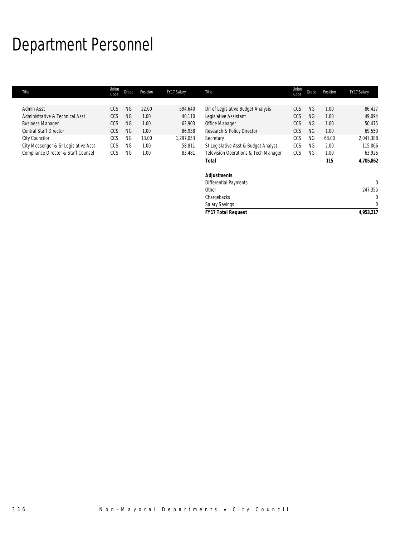## Department Personnel

l.

| Title                                | Union<br>Code | Grade     | Position | FY17 Salary | Title                                | Union<br>Code | Grade     | Position | FY17 Salary  |
|--------------------------------------|---------------|-----------|----------|-------------|--------------------------------------|---------------|-----------|----------|--------------|
|                                      |               |           |          |             |                                      |               |           |          |              |
| Admin Asst                           | <b>CCS</b>    | <b>NG</b> | 22.00    | 594,640     | Dir of Legislative Budget Analysis   | CCS           | <b>NG</b> | 1.00     | 86,427       |
| Administrative & Technical Asst      | CCS           | <b>NG</b> | 1.00     | 40,110      | Legislative Assistant                | CCS           | <b>NG</b> | 1.00     | 49,094       |
| <b>Business Manager</b>              | CCS           | <b>NG</b> | 1.00     | 62,903      | Office Manager                       | CCS           | NG.       | 1.00     | 50,475       |
| <b>Central Staff Director</b>        | <b>CCS</b>    | <b>NG</b> | 1.00     | 86,938      | Research & Policy Director           | <b>CCS</b>    | <b>NG</b> | 1.00     | 69,550       |
| City Councilor                       | CCS           | NG.       | 13.00    | ,297,053    | Secretary                            | CCS           | <b>NG</b> | 68.00    | 2,047,388    |
| City Messenger & Sr Legislative Asst | CCS           | <b>NG</b> | 1.00     | 58,811      | St Legislative Asst & Budget Analyst | CCS           | <b>NG</b> | 2.00     | 115,066      |
| Compliance Director & Staff Counsel  | CCS           | ΝG        | 1.00     | 83,481      | Television Operations & Tech Manager | CCS           | <b>NG</b> | 1.00     | 63,926       |
|                                      |               |           |          |             | <b>Total</b>                         |               |           | 115      | 4,705,862    |
|                                      |               |           |          |             | <b>Adjustments</b>                   |               |           |          |              |
|                                      |               |           |          |             | <b>Differential Payments</b>         |               |           |          | $\mathbf{0}$ |
|                                      |               |           |          |             | Other                                |               |           |          | 247,355      |
|                                      |               |           |          |             | Chargebacks                          |               |           |          | 0            |
|                                      |               |           |          |             | <b>Salary Savings</b>                |               |           |          | 0            |

*FY17 Total Request 4,953,217*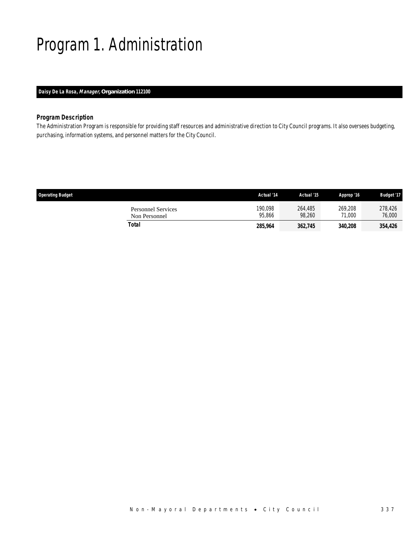# Program 1. Administration

### *Daisy De La Rosa, Manager, Organization 112100*

### *Program Description*

The Administration Program is responsible for providing staff resources and administrative direction to City Council programs. It also oversees budgeting, purchasing, information systems, and personnel matters for the City Council.

| <b>Operating Budget</b>                    | Actual '14        | Actual '15        | Approp '16        | <b>Budget '17</b> |
|--------------------------------------------|-------------------|-------------------|-------------------|-------------------|
| <b>Personnel Services</b><br>Non Personnel | 190,098<br>95.866 | 264,485<br>98.260 | 269,208<br>71.000 | 278,426<br>76,000 |
| Total                                      | 285,964           | 362,745           | 340,208           | 354.426           |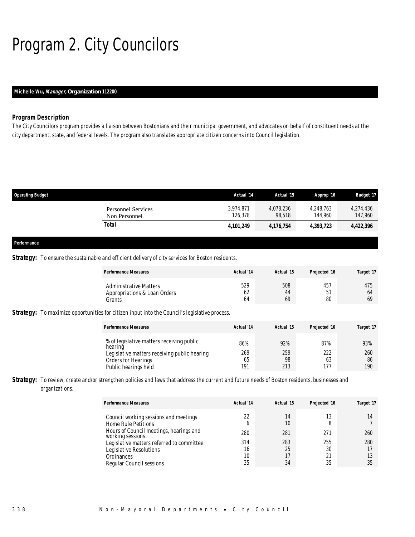# Program 2. City Councilors

### *Michelle Wu, Manager, Organization 112200*

### *Program Description*

The City Councilors program provides a liaison between Bostonians and their municipal government, and advocates on behalf of constituent needs at the city department, state, and federal levels. The program also translates appropriate citizen concerns into Council legislation.

| <b>Operating Budget</b>                    | Actual '14           | Actual '15          | Approp '16           | <b>Budget '17</b>    |
|--------------------------------------------|----------------------|---------------------|----------------------|----------------------|
| <b>Personnel Services</b><br>Non Personnel | 3,974,871<br>126,378 | 4,078,236<br>98,518 | 4,248,763<br>144.960 | 4,274,436<br>147,960 |
| Total                                      | 4,101,249            | 4,176,754           | 4,393,723            | 4,422,396            |
| Performance                                |                      |                     |                      |                      |

#### **Strategy:** To ensure the sustainable and efficient delivery of city services for Boston residents.

| <b>Performance Measures</b>                                                                                                                         | Actual '14              | Actual '15              | Projected '16           | Target '17              |
|-----------------------------------------------------------------------------------------------------------------------------------------------------|-------------------------|-------------------------|-------------------------|-------------------------|
| <b>Administrative Matters</b><br>Appropriations & Loan Orders<br>Grants                                                                             | 529<br>62<br>64         | 508<br>44<br>69         | 457<br>51<br>80         | 475<br>64<br>69         |
| <b>Strategy:</b> To maximize opportunities for citizen input into the Council's legislative process.                                                |                         |                         |                         |                         |
| <b>Performance Measures</b>                                                                                                                         | Actual '14              | Actual '15              | Projected '16           | Target '17              |
| % of legislative matters receiving public<br>hearing<br>Legislative matters receiving public hearing<br>Orders for Hearings<br>Public hearings held | 86%<br>269<br>65<br>191 | 92%<br>259<br>98<br>213 | 87%<br>222<br>63<br>177 | 93%<br>260<br>86<br>190 |

Strategy: To review, create and/or strengthen policies and laws that address the current and future needs of Boston residents, businesses and organizations.

| <b>Performance Measures</b>                                         | Actual '14 | Actual '15 | Projected '16 | Target '17 |
|---------------------------------------------------------------------|------------|------------|---------------|------------|
| Council working sessions and meetings<br><b>Home Rule Petitions</b> | 22<br>h    | 14<br>10   |               |            |
| Hours of Council meetings, hearings and<br>working sessions         | 280        | 281        | 271           | 260        |
| Legislative matters referred to committee                           | 314        | 283        | 255           | 280        |
| Legislative Resolutions                                             | 16         | 25         | 30            |            |
| Ordinances                                                          | 10         |            | 21            |            |
| Regular Council sessions                                            | 35         | 34         | 35            | 35         |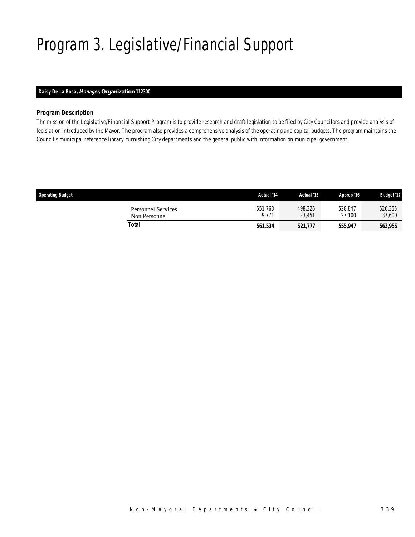# Program 3. Legislative/Financial Support

### *Daisy De La Rosa, Manager, Organization 112300*

### *Program Description*

The mission of the Legislative/Financial Support Program is to provide research and draft legislation to be filed by City Councilors and provide analysis of legislation introduced by the Mayor. The program also provides a comprehensive analysis of the operating and capital budgets. The program maintains the Council's municipal reference library, furnishing City departments and the general public with information on municipal government.

| <b>Operating Budget</b>                    | Actual '14       | Actual '15        | Approp '16        | <b>Budget '17</b> |
|--------------------------------------------|------------------|-------------------|-------------------|-------------------|
| <b>Personnel Services</b><br>Non Personnel | 551,763<br>9.771 | 498,326<br>23.451 | 528.847<br>27.100 | 526,355<br>37,600 |
| Total                                      | 561,534          | 521,777           | 555,947           | 563,955           |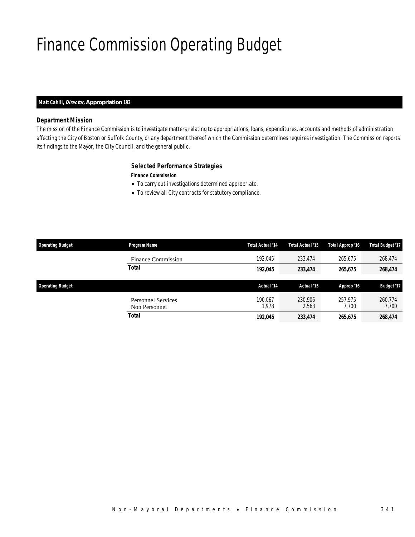# Finance Commission Operating Budget

### *Matt Cahill, Director, Appropriation 193*

### *Department Mission*

The mission of the Finance Commission is to investigate matters relating to appropriations, loans, expenditures, accounts and methods of administration affecting the City of Boston or Suffolk County, or any department thereof which the Commission determines requires investigation. The Commission reports its findings to the Mayor, the City Council, and the general public.

### *Selected Performance Strategies*

*Finance Commission* 

- To carry out investigations determined appropriate.
- To review all City contracts for statutory compliance.

| <b>Operating Budget</b> | Program Name                               | Total Actual '14 | Total Actual '15 | Total Approp '16 | <b>Total Budget '17</b> |
|-------------------------|--------------------------------------------|------------------|------------------|------------------|-------------------------|
|                         | <b>Finance Commission</b>                  | 192.045          | 233,474          | 265,675          | 268,474                 |
|                         | <b>Total</b>                               | 192,045          | 233,474          | 265,675          | 268,474                 |
| <b>Operating Budget</b> |                                            | Actual '14       | Actual '15       | Approp '16       | Budget '17              |
|                         | <b>Personnel Services</b><br>Non Personnel | 190.067<br>1.978 | 230,906<br>2,568 | 257.975<br>7.700 | 260,774<br>7,700        |
|                         | <b>Total</b>                               | 192,045          | 233,474          | 265,675          | 268,474                 |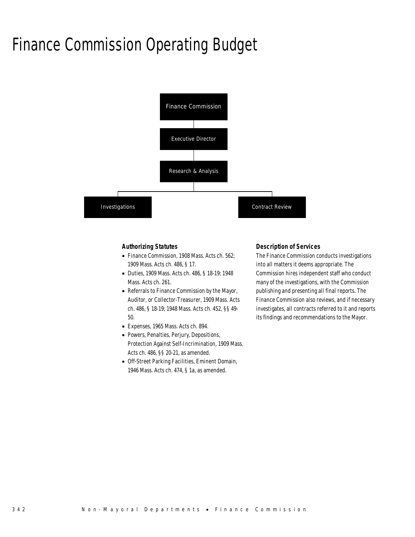## Finance Commission Operating Budget



#### *Authorizing Statutes*

- Finance Commission, 1908 Mass. Acts ch. 562; 1909 Mass. Acts ch. 486, § 17.
- Duties, 1909 Mass. Acts ch. 486, § 18-19; 1948 Mass. Acts ch. 261.
- Referrals to Finance Commission by the Mayor, Auditor, or Collector-Treasurer, 1909 Mass. Acts ch. 486, § 18-19; 1948 Mass. Acts ch. 452, §§ 49- 50.
- Expenses, 1965 Mass. Acts ch. 894.
- Powers, Penalties, Perjury, Depositions, Protection Against Self-Incrimination, 1909 Mass. Acts ch. 486, §§ 20-21, as amended.
- Off-Street Parking Facilities, Eminent Domain, 1946 Mass. Acts ch. 474, § 1a, as amended.

#### *Description of Services*

The Finance Commission conducts investigations into all matters it deems appropriate. The Commission hires independent staff who conduct many of the investigations, with the Commission publishing and presenting all final reports. The Finance Commission also reviews, and if necessary investigates, all contracts referred to it and reports its findings and recommendations to the Mayor.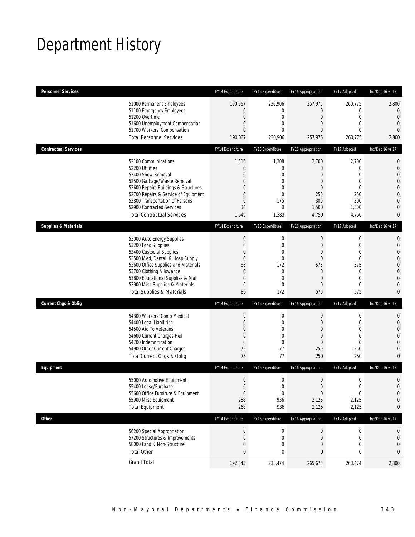## Department History

| <b>Personnel Services</b>       |                                                                                                                                                                                                                                                                                                      | FY14 Expenditure                                                                                     | FY15 Expenditure                                                                                         | FY16 Appropriation                                                                                 | FY17 Adopted                                                                                                          | Inc/Dec 16 vs 17                                                                                                                                   |
|---------------------------------|------------------------------------------------------------------------------------------------------------------------------------------------------------------------------------------------------------------------------------------------------------------------------------------------------|------------------------------------------------------------------------------------------------------|----------------------------------------------------------------------------------------------------------|----------------------------------------------------------------------------------------------------|-----------------------------------------------------------------------------------------------------------------------|----------------------------------------------------------------------------------------------------------------------------------------------------|
|                                 | 51000 Permanent Employees<br>51100 Emergency Employees<br>51200 Overtime<br>51600 Unemployment Compensation<br>51700 Workers' Compensation<br><b>Total Personnel Services</b>                                                                                                                        | 190,067<br>0<br>$\mathbf 0$<br>0<br>$\overline{0}$<br>190,067                                        | 230,906<br>0<br>$\mathbf 0$<br>0<br>$\theta$<br>230,906                                                  | 257,975<br>0<br>$\mathbf 0$<br>0<br>0<br>257,975                                                   | 260,775<br>$\mathbf 0$<br>$\mathbf 0$<br>$\mathbf{0}$<br>$\mathbf{0}$<br>260,775                                      | 2,800<br>0<br>$\overline{0}$<br>$\mathbf{0}$<br>$\theta$<br>2,800                                                                                  |
| <b>Contractual Services</b>     |                                                                                                                                                                                                                                                                                                      | FY14 Expenditure                                                                                     | FY15 Expenditure                                                                                         | FY16 Appropriation                                                                                 | FY17 Adopted                                                                                                          | Inc/Dec 16 vs 17                                                                                                                                   |
|                                 | 52100 Communications<br>52200 Utilities<br>52400 Snow Removal<br>52500 Garbage/Waste Removal<br>52600 Repairs Buildings & Structures<br>52700 Repairs & Service of Equipment<br>52800 Transportation of Persons<br>52900 Contracted Services<br><b>Total Contractual Services</b>                    | 1,515<br>0<br>0<br>0<br>0<br>0<br>$\mathbf 0$<br>34<br>1,549                                         | 1,208<br>0<br>0<br>$\mathbf 0$<br>0<br>$\mathbf 0$<br>175<br>$\mathbf{0}$<br>1,383                       | 2,700<br>0<br>0<br>0<br>0<br>250<br>300<br>1,500<br>4,750                                          | 2,700<br>$\mathbf 0$<br>$\mathbf{0}$<br>$\mathbf{0}$<br>$\mathbf 0$<br>250<br>300<br>1,500<br>4,750                   | $\mathbf 0$<br>$\mathbf 0$<br>$\overline{0}$<br>$\mathbf{0}$<br>$\mathbf 0$<br>$\overline{0}$<br>$\mathbf{0}$<br>$\overline{0}$<br>0               |
| <b>Supplies &amp; Materials</b> |                                                                                                                                                                                                                                                                                                      | FY14 Expenditure                                                                                     | FY15 Expenditure                                                                                         | FY16 Appropriation                                                                                 | FY17 Adopted                                                                                                          | Inc/Dec 16 vs 17                                                                                                                                   |
|                                 | 53000 Auto Energy Supplies<br>53200 Food Supplies<br>53400 Custodial Supplies<br>53500 Med, Dental, & Hosp Supply<br>53600 Office Supplies and Materials<br>53700 Clothing Allowance<br>53800 Educational Supplies & Mat<br>53900 Misc Supplies & Materials<br><b>Total Supplies &amp; Materials</b> | $\bf{0}$<br>$\mathbf 0$<br>0<br>$\mathbf 0$<br>86<br>$\mathbf 0$<br>$\mathbf 0$<br>$\mathbf 0$<br>86 | $\boldsymbol{0}$<br>$\mathbf 0$<br>0<br>$\mathbf 0$<br>172<br>0<br>$\overline{0}$<br>$\mathbf{0}$<br>172 | $\mathbf 0$<br>$\overline{0}$<br>0<br>$\mathbf 0$<br>575<br>$\theta$<br>$\overline{0}$<br>0<br>575 | $\mathbf 0$<br>$\mathbf 0$<br>$\mathbf 0$<br>$\mathbf 0$<br>575<br>$\mathbf 0$<br>$\mathbf{0}$<br>$\mathbf{0}$<br>575 | $\mathbf{0}$<br>$\mathbf 0$<br>$\mathbf{0}$<br>$\overline{0}$<br>$\mathbf 0$<br>$\overline{0}$<br>$\overline{0}$<br>$\overline{0}$<br>$\mathbf{0}$ |
| <b>Current Chgs &amp; Oblig</b> |                                                                                                                                                                                                                                                                                                      | FY14 Expenditure                                                                                     | FY15 Expenditure                                                                                         | FY16 Appropriation                                                                                 | FY17 Adopted                                                                                                          | Inc/Dec 16 vs 17                                                                                                                                   |
|                                 | 54300 Workers' Comp Medical<br>54400 Legal Liabilities<br>54500 Aid To Veterans<br>54600 Current Charges H&I<br>54700 Indemnification<br>54900 Other Current Charges<br>Total Current Chgs & Oblig                                                                                                   | $\bf{0}$<br>$\mathbf 0$<br>0<br>0<br>$\mathbf 0$<br>75<br>75                                         | 0<br>$\mathbf 0$<br>0<br>$\overline{0}$<br>$\overline{0}$<br>77<br>77                                    | $\mathbf 0$<br>$\mathbf 0$<br>0<br>$\mathbf 0$<br>0<br>250<br>250                                  | $\boldsymbol{0}$<br>$\mathbf 0$<br>$\mathbf{0}$<br>$\mathbf 0$<br>$\mathbf{0}$<br>250<br>250                          | $\mathbf 0$<br>$\mathbf 0$<br>$\overline{0}$<br>$\overline{0}$<br>$\overline{0}$<br>$\mathbf{0}$<br>$\overline{0}$                                 |
| Equipment                       |                                                                                                                                                                                                                                                                                                      | FY14 Expenditure                                                                                     | FY15 Expenditure                                                                                         | FY16 Appropriation                                                                                 | FY17 Adopted                                                                                                          | Inc/Dec 16 vs 17                                                                                                                                   |
|                                 | 55000 Automotive Equipment<br>55400 Lease/Purchase<br>55600 Office Furniture & Equipment<br>55900 Misc Equipment<br><b>Total Equipment</b>                                                                                                                                                           | 0<br>$\boldsymbol{0}$<br>$\boldsymbol{0}$<br>268<br>268                                              | 0<br>$\Omega$<br>$\boldsymbol{0}$<br>936<br>936                                                          | $\mathbf 0$<br>$\overline{0}$<br>$\boldsymbol{0}$<br>2,125<br>2,125                                | $\mathbf 0$<br>$\overline{0}$<br>$\boldsymbol{0}$<br>2,125<br>2,125                                                   | $\mathbf 0$<br>$\overline{0}$<br>$\mathbf 0$<br>$\mathbf 0$<br>0                                                                                   |
| <b>Other</b>                    |                                                                                                                                                                                                                                                                                                      | FY14 Expenditure                                                                                     | FY15 Expenditure                                                                                         | FY16 Appropriation                                                                                 | FY17 Adopted                                                                                                          | Inc/Dec 16 vs 17                                                                                                                                   |
|                                 | 56200 Special Appropriation<br>57200 Structures & Improvements<br>58000 Land & Non-Structure<br><b>Total Other</b>                                                                                                                                                                                   | $\boldsymbol{0}$<br>0<br>0<br>0                                                                      | 0<br>0<br>$\mathbf 0$<br>0                                                                               | $\boldsymbol{0}$<br>0<br>0<br>0                                                                    | $\boldsymbol{0}$<br>$\mathbf 0$<br>$\mathbf 0$<br>0                                                                   | 0<br>0<br>$\mathbf 0$<br>0                                                                                                                         |
|                                 | <b>Grand Total</b>                                                                                                                                                                                                                                                                                   | 192,045                                                                                              | 233,474                                                                                                  | 265,675                                                                                            | 268,474                                                                                                               | 2,800                                                                                                                                              |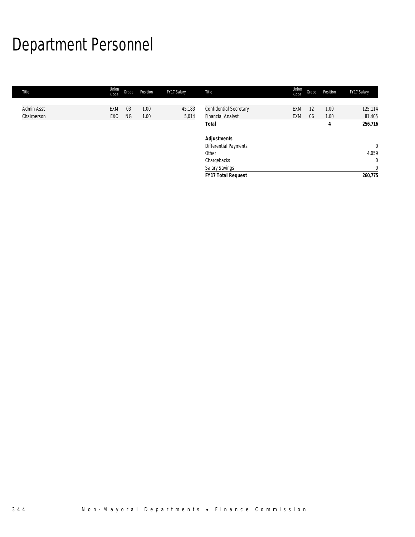# Department Personnel

| Title       | Union<br>Code   | Grade     | Position | FY17 Salary | Title                         | Union<br>Code | Grade | Position | FY17 Salary    |
|-------------|-----------------|-----------|----------|-------------|-------------------------------|---------------|-------|----------|----------------|
|             |                 |           |          |             |                               |               |       |          |                |
| Admin Asst  | EXM             | 03        | 1.00     | 45,183      | <b>Confidential Secretary</b> | EXM           | 12    | 1.00     | 125,114        |
| Chairperson | EX <sub>0</sub> | <b>NG</b> | 1.00     | 5,014       | <b>Financial Analyst</b>      | EXM           | 06    | 1.00     | 81,405         |
|             |                 |           |          |             | <b>Total</b>                  |               |       | 4        | 256,716        |
|             |                 |           |          |             | <b>Adjustments</b>            |               |       |          |                |
|             |                 |           |          |             | Differential Payments         |               |       |          | $\mathbf 0$    |
|             |                 |           |          |             | Other                         |               |       |          | 4,059          |
|             |                 |           |          |             | Chargebacks                   |               |       |          | $\mathbf{0}$   |
|             |                 |           |          |             | <b>Salary Savings</b>         |               |       |          | $\overline{0}$ |
|             |                 |           |          |             | <b>FY17 Total Request</b>     |               |       |          | 260,775        |